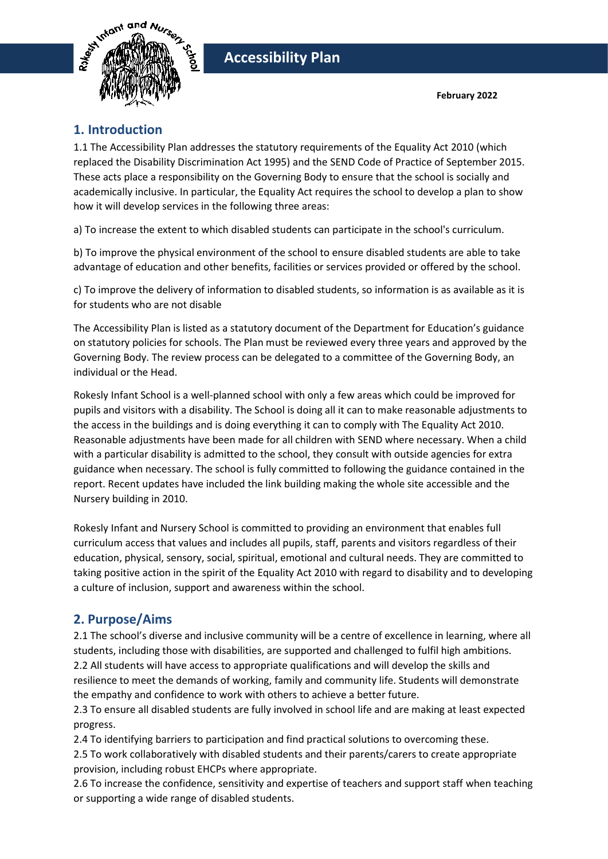

**February 2022**

### **1. Introduction**

1.1 The Accessibility Plan addresses the statutory requirements of the Equality Act 2010 (which replaced the Disability Discrimination Act 1995) and the SEND Code of Practice of September 2015. These acts place a responsibility on the Governing Body to ensure that the school is socially and academically inclusive. In particular, the Equality Act requires the school to develop a plan to show how it will develop services in the following three areas:

a) To increase the extent to which disabled students can participate in the school's curriculum.

b) To improve the physical environment of the school to ensure disabled students are able to take advantage of education and other benefits, facilities or services provided or offered by the school.

c) To improve the delivery of information to disabled students, so information is as available as it is for students who are not disable

The Accessibility Plan is listed as a statutory document of the Department for Education's guidance on statutory policies for schools. The Plan must be reviewed every three years and approved by the Governing Body. The review process can be delegated to a committee of the Governing Body, an individual or the Head.

Rokesly Infant School is a well-planned school with only a few areas which could be improved for pupils and visitors with a disability. The School is doing all it can to make reasonable adjustments to the access in the buildings and is doing everything it can to comply with The Equality Act 2010. Reasonable adjustments have been made for all children with SEND where necessary. When a child with a particular disability is admitted to the school, they consult with outside agencies for extra guidance when necessary. The school is fully committed to following the guidance contained in the report. Recent updates have included the link building making the whole site accessible and the Nursery building in 2010.

Rokesly Infant and Nursery School is committed to providing an environment that enables full curriculum access that values and includes all pupils, staff, parents and visitors regardless of their education, physical, sensory, social, spiritual, emotional and cultural needs. They are committed to taking positive action in the spirit of the Equality Act 2010 with regard to disability and to developing a culture of inclusion, support and awareness within the school.

# **2. Purpose/Aims**

2.1 The school's diverse and inclusive community will be a centre of excellence in learning, where all students, including those with disabilities, are supported and challenged to fulfil high ambitions.

2.2 All students will have access to appropriate qualifications and will develop the skills and resilience to meet the demands of working, family and community life. Students will demonstrate the empathy and confidence to work with others to achieve a better future.

2.3 To ensure all disabled students are fully involved in school life and are making at least expected progress.

2.4 To identifying barriers to participation and find practical solutions to overcoming these.

2.5 To work collaboratively with disabled students and their parents/carers to create appropriate provision, including robust EHCPs where appropriate.

2.6 To increase the confidence, sensitivity and expertise of teachers and support staff when teaching or supporting a wide range of disabled students.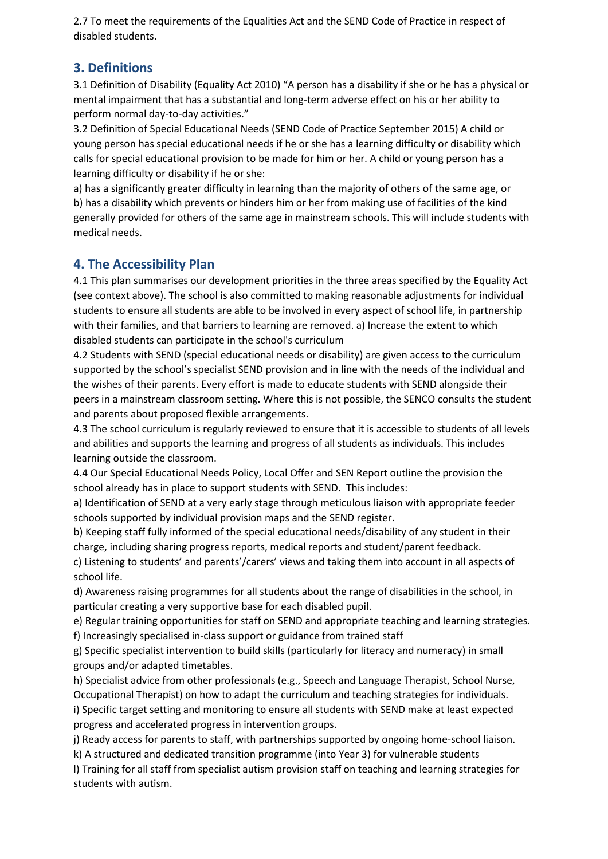2.7 To meet the requirements of the Equalities Act and the SEND Code of Practice in respect of disabled students.

#### **3. Definitions**

3.1 Definition of Disability (Equality Act 2010) "A person has a disability if she or he has a physical or mental impairment that has a substantial and long-term adverse effect on his or her ability to perform normal day-to-day activities."

3.2 Definition of Special Educational Needs (SEND Code of Practice September 2015) A child or young person has special educational needs if he or she has a learning difficulty or disability which calls for special educational provision to be made for him or her. A child or young person has a learning difficulty or disability if he or she:

a) has a significantly greater difficulty in learning than the majority of others of the same age, or b) has a disability which prevents or hinders him or her from making use of facilities of the kind generally provided for others of the same age in mainstream schools. This will include students with medical needs.

#### **4. The Accessibility Plan**

4.1 This plan summarises our development priorities in the three areas specified by the Equality Act (see context above). The school is also committed to making reasonable adjustments for individual students to ensure all students are able to be involved in every aspect of school life, in partnership with their families, and that barriers to learning are removed. a) Increase the extent to which disabled students can participate in the school's curriculum

4.2 Students with SEND (special educational needs or disability) are given access to the curriculum supported by the school's specialist SEND provision and in line with the needs of the individual and the wishes of their parents. Every effort is made to educate students with SEND alongside their peers in a mainstream classroom setting. Where this is not possible, the SENCO consults the student and parents about proposed flexible arrangements.

4.3 The school curriculum is regularly reviewed to ensure that it is accessible to students of all levels and abilities and supports the learning and progress of all students as individuals. This includes learning outside the classroom.

4.4 Our Special Educational Needs Policy, Local Offer and SEN Report outline the provision the school already has in place to support students with SEND. This includes:

a) Identification of SEND at a very early stage through meticulous liaison with appropriate feeder schools supported by individual provision maps and the SEND register.

b) Keeping staff fully informed of the special educational needs/disability of any student in their charge, including sharing progress reports, medical reports and student/parent feedback.

c) Listening to students' and parents'/carers' views and taking them into account in all aspects of school life.

d) Awareness raising programmes for all students about the range of disabilities in the school, in particular creating a very supportive base for each disabled pupil.

e) Regular training opportunities for staff on SEND and appropriate teaching and learning strategies. f) Increasingly specialised in-class support or guidance from trained staff

g) Specific specialist intervention to build skills (particularly for literacy and numeracy) in small groups and/or adapted timetables.

h) Specialist advice from other professionals (e.g., Speech and Language Therapist, School Nurse, Occupational Therapist) on how to adapt the curriculum and teaching strategies for individuals.

i) Specific target setting and monitoring to ensure all students with SEND make at least expected progress and accelerated progress in intervention groups.

j) Ready access for parents to staff, with partnerships supported by ongoing home-school liaison.

k) A structured and dedicated transition programme (into Year 3) for vulnerable students

l) Training for all staff from specialist autism provision staff on teaching and learning strategies for students with autism.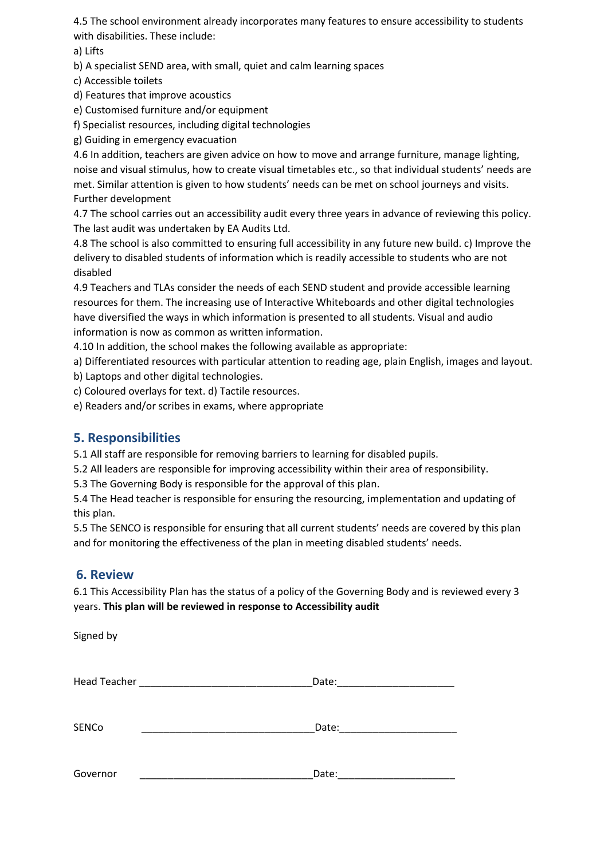4.5 The school environment already incorporates many features to ensure accessibility to students with disabilities. These include:

a) Lifts

b) A specialist SEND area, with small, quiet and calm learning spaces

c) Accessible toilets

d) Features that improve acoustics

e) Customised furniture and/or equipment

f) Specialist resources, including digital technologies

g) Guiding in emergency evacuation

4.6 In addition, teachers are given advice on how to move and arrange furniture, manage lighting, noise and visual stimulus, how to create visual timetables etc., so that individual students' needs are met. Similar attention is given to how students' needs can be met on school journeys and visits. Further development

4.7 The school carries out an accessibility audit every three years in advance of reviewing this policy. The last audit was undertaken by EA Audits Ltd.

4.8 The school is also committed to ensuring full accessibility in any future new build. c) Improve the delivery to disabled students of information which is readily accessible to students who are not disabled

4.9 Teachers and TLAs consider the needs of each SEND student and provide accessible learning resources for them. The increasing use of Interactive Whiteboards and other digital technologies have diversified the ways in which information is presented to all students. Visual and audio information is now as common as written information.

4.10 In addition, the school makes the following available as appropriate:

a) Differentiated resources with particular attention to reading age, plain English, images and layout. b) Laptops and other digital technologies.

c) Coloured overlays for text. d) Tactile resources.

e) Readers and/or scribes in exams, where appropriate

#### **5. Responsibilities**

5.1 All staff are responsible for removing barriers to learning for disabled pupils.

5.2 All leaders are responsible for improving accessibility within their area of responsibility.

5.3 The Governing Body is responsible for the approval of this plan.

5.4 The Head teacher is responsible for ensuring the resourcing, implementation and updating of this plan.

5.5 The SENCO is responsible for ensuring that all current students' needs are covered by this plan and for monitoring the effectiveness of the plan in meeting disabled students' needs.

#### **6. Review**

6.1 This Accessibility Plan has the status of a policy of the Governing Body and is reviewed every 3 years. **This plan will be reviewed in response to Accessibility audit**

Signed by

| <b>Head Teacher</b><br><u> 1980 - Jan Barbara Barbara, manazarta da </u> | Date: |  |
|--------------------------------------------------------------------------|-------|--|
|                                                                          |       |  |
| SENCo                                                                    | Date: |  |
|                                                                          |       |  |
| Governor                                                                 | Date: |  |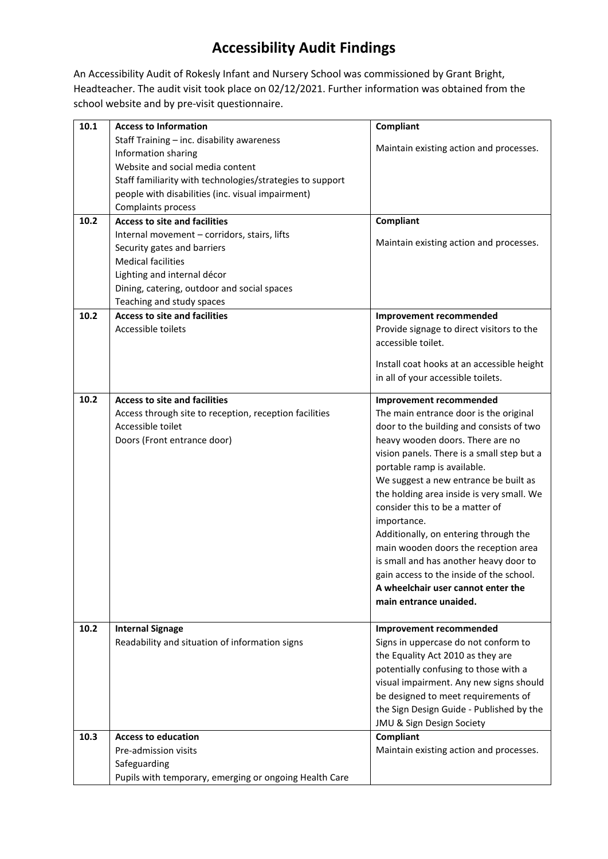# **Accessibility Audit Findings**

An Accessibility Audit of Rokesly Infant and Nursery School was commissioned by Grant Bright, Headteacher. The audit visit took place on 02/12/2021. Further information was obtained from the school website and by pre-visit questionnaire.

| 10.1 | <b>Access to Information</b>                              | Compliant                                                                      |
|------|-----------------------------------------------------------|--------------------------------------------------------------------------------|
|      | Staff Training - inc. disability awareness                |                                                                                |
|      | Information sharing                                       | Maintain existing action and processes.                                        |
|      | Website and social media content                          |                                                                                |
|      | Staff familiarity with technologies/strategies to support |                                                                                |
|      | people with disabilities (inc. visual impairment)         |                                                                                |
|      | Complaints process                                        |                                                                                |
| 10.2 | <b>Access to site and facilities</b>                      | Compliant                                                                      |
|      | Internal movement - corridors, stairs, lifts              |                                                                                |
|      | Security gates and barriers                               | Maintain existing action and processes.                                        |
|      | <b>Medical facilities</b>                                 |                                                                                |
|      | Lighting and internal décor                               |                                                                                |
|      | Dining, catering, outdoor and social spaces               |                                                                                |
|      | Teaching and study spaces                                 |                                                                                |
| 10.2 | <b>Access to site and facilities</b>                      | Improvement recommended                                                        |
|      | Accessible toilets                                        | Provide signage to direct visitors to the                                      |
|      |                                                           | accessible toilet.                                                             |
|      |                                                           | Install coat hooks at an accessible height                                     |
|      |                                                           | in all of your accessible toilets.                                             |
|      |                                                           |                                                                                |
| 10.2 | <b>Access to site and facilities</b>                      | Improvement recommended                                                        |
|      | Access through site to reception, reception facilities    | The main entrance door is the original                                         |
|      | Accessible toilet                                         | door to the building and consists of two                                       |
|      | Doors (Front entrance door)                               | heavy wooden doors. There are no                                               |
|      |                                                           | vision panels. There is a small step but a                                     |
|      |                                                           | portable ramp is available.                                                    |
|      |                                                           | We suggest a new entrance be built as                                          |
|      |                                                           | the holding area inside is very small. We<br>consider this to be a matter of   |
|      |                                                           |                                                                                |
|      |                                                           | importance.                                                                    |
|      |                                                           | Additionally, on entering through the                                          |
|      |                                                           | main wooden doors the reception area<br>is small and has another heavy door to |
|      |                                                           |                                                                                |
|      |                                                           | gain access to the inside of the school.<br>A wheelchair user cannot enter the |
|      |                                                           | main entrance unaided.                                                         |
|      |                                                           |                                                                                |
| 10.2 | <b>Internal Signage</b>                                   | Improvement recommended                                                        |
|      | Readability and situation of information signs            | Signs in uppercase do not conform to                                           |
|      |                                                           | the Equality Act 2010 as they are                                              |
|      |                                                           | potentially confusing to those with a                                          |
|      |                                                           | visual impairment. Any new signs should                                        |
|      |                                                           | be designed to meet requirements of                                            |
|      |                                                           | the Sign Design Guide - Published by the                                       |
|      |                                                           | JMU & Sign Design Society                                                      |
| 10.3 | <b>Access to education</b>                                | Compliant                                                                      |
|      | Pre-admission visits                                      | Maintain existing action and processes.                                        |
|      | Safeguarding                                              |                                                                                |
|      | Pupils with temporary, emerging or ongoing Health Care    |                                                                                |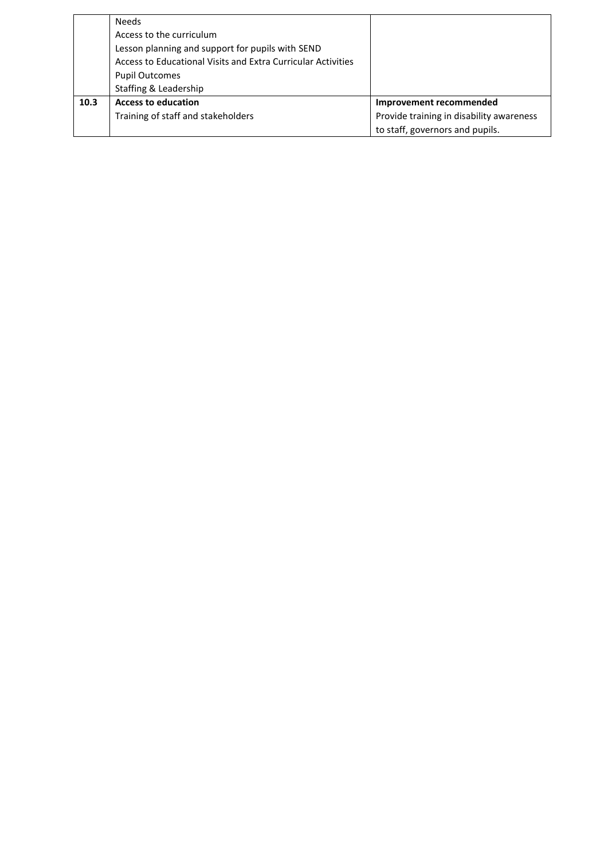|      | <b>Needs</b>                                                 |                                          |
|------|--------------------------------------------------------------|------------------------------------------|
|      | Access to the curriculum                                     |                                          |
|      | Lesson planning and support for pupils with SEND             |                                          |
|      | Access to Educational Visits and Extra Curricular Activities |                                          |
|      | <b>Pupil Outcomes</b>                                        |                                          |
|      | Staffing & Leadership                                        |                                          |
| 10.3 | <b>Access to education</b>                                   | Improvement recommended                  |
|      | Training of staff and stakeholders                           | Provide training in disability awareness |
|      |                                                              | to staff, governors and pupils.          |